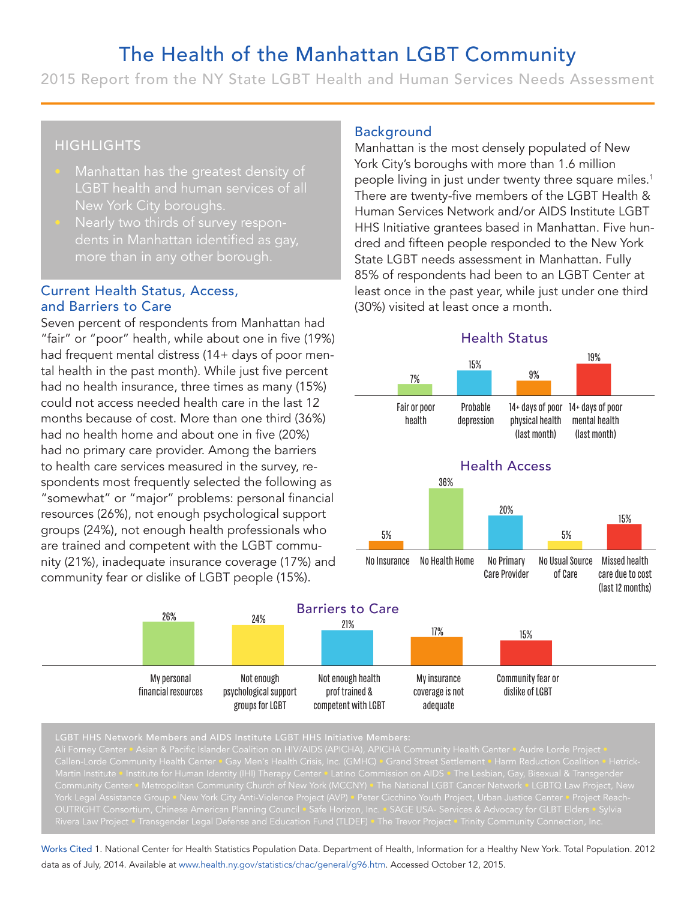# The Health of the Manhattan LGBT Community

2015 Report from the NY State LGBT Health and Human Services Needs Assessment

# **HIGHLIGHTS**

- LGBT health and human services of all New York City boroughs.
- Nearly two thirds of survey respondents in Manhattan identified as gay,

## Current Health Status, Access, and Barriers to Care

Seven percent of respondents from Manhattan had "fair" or "poor" health, while about one in five (19%) had frequent mental distress (14+ days of poor mental health in the past month). While just five percent had no health insurance, three times as many (15%) could not access needed health care in the last 12 months because of cost. More than one third (36%) had no health home and about one in five (20%) had no primary care provider. Among the barriers to health care services measured in the survey, respondents most frequently selected the following as "somewhat" or "major" problems: personal financial resources (26%), not enough psychological support groups (24%), not enough health professionals who are trained and competent with the LGBT community (21%), inadequate insurance coverage (17%) and community fear or dislike of LGBT people (15%).

> My personal financial resources

## Background

Manhattan is the most densely populated of New York City's boroughs with more than 1.6 million people living in just under twenty three square miles.<sup>1</sup> There are twenty-five members of the LGBT Health & Human Services Network and/or AIDS Institute LGBT HHS Initiative grantees based in Manhattan. Five hundred and fifteen people responded to the New York State LGBT needs assessment in Manhattan. Fully 85% of respondents had been to an LGBT Center at least once in the past year, while just under one third (30%) visited at least once a month. **Example 18 Accord 18 Accord 18 Accord 18 Accord 18 Accord 18 Accord 18 Accord 18 Accord 18 Accord 18 Accord 18 Accord 18 Accord 18 Accord 18 Accord 18 Accord 18 Accord 18 Accord 18 Accord 18 Accord 18 Accord 18 Accord 18 GBT Command Services**<br> **And is the most dense boroughs with movel in just under two twenty-five members with movel in the proper proper spectrum of the past year, we dat least once a reproduced at least once a reproduced** mmunity<br>
The State of States Analysis<br>
The State of the Linds of the Linds<br>
The State of the Linds of State of State<br>
The State of State of States<br>
The State of States<br>
The State of State<br>
The State of States<br>
The State of unity<br>
eeds Assessme<br>
sales and the mode of New<br>
than 1.6 million<br>
ty three square miliof<br>
of the LGBT Health<br>
or AIDS Institute LG<br>
or Manhattan. Five h<br>
ded to the New You<br>
in Manhattan. Fully<br>
to an LGBT Center<br>
e just



adequate



Not enough

groups for LGBT

Ali Forney Center • Asian & Pacific Islander Coalition on HIV/AIDS (APICHA), APICHA Community Health Center • Audre Lorde Project • Callen-Lorde Community Health Center • Gay Men's Health Crisis, Inc. (GMHC) • Grand Street Settlement • Harm Reduction Coalition • Hetrick-Martin Institute • Institute for Human Identity (IHI) Therapy Center • Latino Commission on AIDS • The Lesbian, Gay, Bisexual & Transgender Community Center • Metropolitan Community Church of New York (MCCNY) • The National LGBT Cancer Network • LGBTQ Law Project, New OUTRIGHT Consortium, Chinese American Planning Council • Safe Horizon, Inc. • SAGE USA- Services & Advocacy for GLBT Elders • Sylvia

competent with LGBT

Works Cited 1. National Center for Health Statistics Population Data. Department of Health, Information for a Healthy New York. Total Population. 2012 data as of July, 2014. Available at www.health.ny.gov/statistics/chac/general/g96.htm. Accessed October 12, 2015.